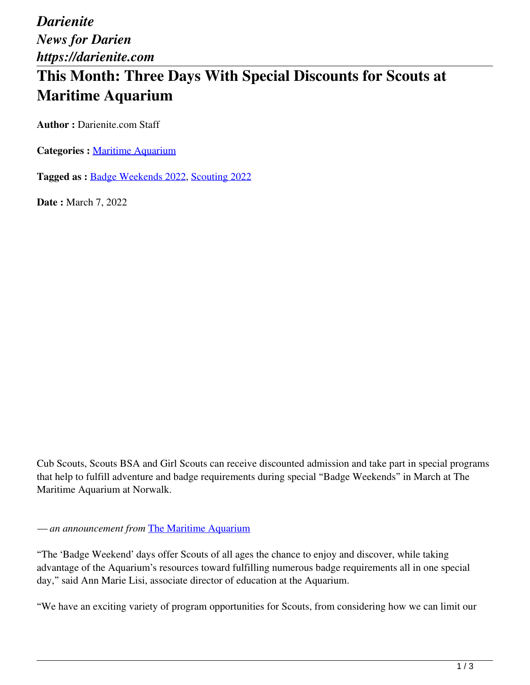*Darienite News for Darien https://darienite.com*

# **This Month: Three Days With Special Discounts for Scouts at Maritime Aquarium**

**Author :** Darienite.com Staff

**Categories :** [Maritime Aquarium](https://darienite.com/category/maritime-aquarium)

**Tagged as :** Badge Weekends 2022, Scouting 2022

**Date :** March 7, 2022

Cub Scouts, Scouts BSA and Girl Scouts can receive discounted admission and take part in special programs that help to fulfill adventure and badge requirements during special "Badge Weekends" in March at The Maritime Aquarium at Norwalk.

*— an announcement from* The Maritime Aquarium

"The 'Badge Weekend' days offer Scouts of all ages the chance to enjoy and discover, while taking advantage of the Aquarium's resources toward fulfilling numerous badge requirements all in one special day," said Ann Marie Lisi, associate director of education at the Aquarium.

"We have an exciting variety of program opportunities for Scouts, from considering how we can limit our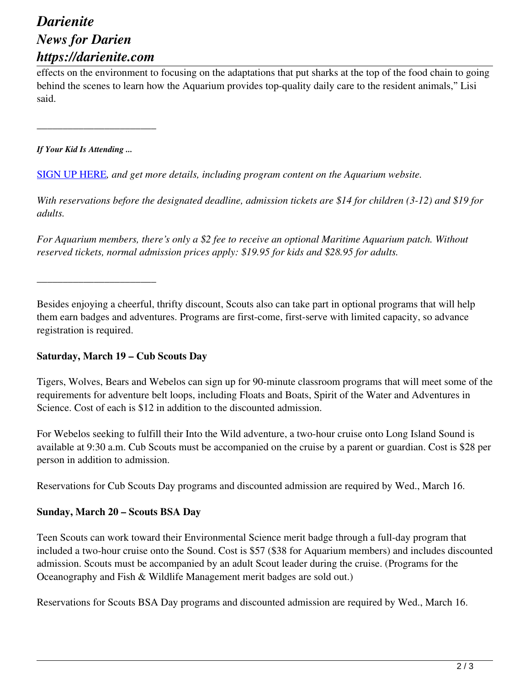## *Darienite News for Darien https://darienite.com*

effects on the environment to focusing on the adaptations that put sharks at the top of the food chain to going behind the scenes to learn how the Aquarium provides top-quality daily care to the resident animals," Lisi said.

*If Your Kid Is Attending ...*

\_\_\_\_\_\_\_\_\_\_\_\_\_\_\_\_\_\_\_\_\_\_\_

\_\_\_\_\_\_\_\_\_\_\_\_\_\_\_\_\_\_\_\_\_\_\_

SIGN UP HERE*, and get more details, including program content on the Aquarium website.*

*With reservations before the designated deadline, admission tickets are \$14 for children (3-12) and \$19 for adults.* 

*For Aquarium members, there's only a \$2 fee to receive an optional Maritime Aquarium patch. Without reserved tickets, normal admission prices apply: \$19.95 for kids and \$28.95 for adults.*

Besides enjoying a cheerful, thrifty discount, Scouts also can take part in optional programs that will help them earn badges and adventures. Programs are first-come, first-serve with limited capacity, so advance registration is required.

#### **Saturday, March 19 – Cub Scouts Day**

Tigers, Wolves, Bears and Webelos can sign up for 90-minute classroom programs that will meet some of the requirements for adventure belt loops, including Floats and Boats, Spirit of the Water and Adventures in Science. Cost of each is \$12 in addition to the discounted admission.

For Webelos seeking to fulfill their Into the Wild adventure, a two-hour cruise onto Long Island Sound is available at 9:30 a.m. Cub Scouts must be accompanied on the cruise by a parent or guardian. Cost is \$28 per person in addition to admission.

Reservations for Cub Scouts Day programs and discounted admission are required by Wed., March 16.

#### **Sunday, March 20 – Scouts BSA Day**

Teen Scouts can work toward their Environmental Science merit badge through a full-day program that included a two-hour cruise onto the Sound. Cost is \$57 (\$38 for Aquarium members) and includes discounted admission. Scouts must be accompanied by an adult Scout leader during the cruise. (Programs for the Oceanography and Fish & Wildlife Management merit badges are sold out.)

Reservations for Scouts BSA Day programs and discounted admission are required by Wed., March 16.